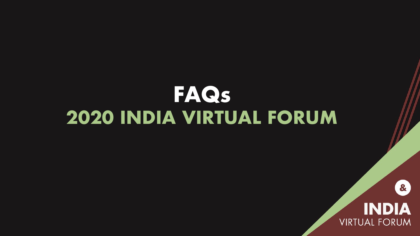# **FAQs 2020 INDIA VIRTUAL FORUM**



8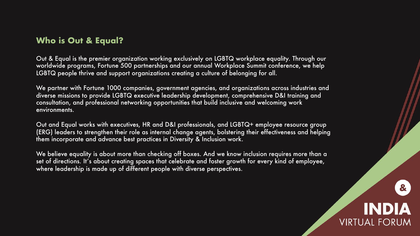Out & Equal is the premier organization working exclusively on LGBTQ workplace equality. Through our worldwide programs, Fortune 500 partnerships and our annual Workplace Summit conference, we help LGBTQ people thrive and support organizations creating a culture of belonging for all.

We partner with Fortune 1000 companies, government agencies, and organizations across industries and diverse missions to provide LGBTQ executive leadership development, comprehensive D&I training and consultation, and professional networking opportunities that build inclusive and welcoming work environments.

Out and Equal works with executives, HR and D&I professionals, and LGBTQ+ employee resource group (ERG) leaders to strengthen their role as internal change agents, bolstering their effectiveness and helping them incorporate and advance best practices in Diversity & Inclusion work.

We believe equality is about more than checking off boxes. And we know inclusion requires more than a set of directions. It's about creating spaces that celebrate and foster growth for every kind of employee, where leadership is made up of different people with diverse perspectives.

## **INDI VIRTUAL FORUM**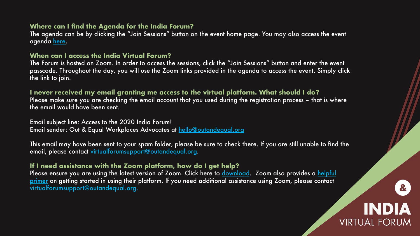#### **Where can I find the Agenda for the India Forum?**

The agenda can be by clicking the "Join Sessions" button on the event home page. You agenda here.

#### **When can I access the India Virtual Forum?**

The Forum is hosted on Zoom. In order to access the sessions, click the "Join Sessions' passcode. Throughout the day, you will use the Zoom links provided in the agenda to the link to join.

#### **I never received my email granting me access to the virtual platform. WI**

Please make sure you are checking the email account that you used during the registration process – the email would have been sent.

Email subject line: Access to the 2020 India Forum! Email sender: Out & Equal Workplaces Advocates at hello@outandequal.org

This email may have been sent to your spam folder, please be sure to check there. If  $y$ email, please contact virtualforumsupport@outandequal.org.

#### **If I need assistance with the Zoom platform, how do I get help?**

Please ensure you are using the latest version of Zoom. Click here to download. Zoor primer on getting started in using their platform. If you need additional assistance usir virtualforumsupport@outandequal.org.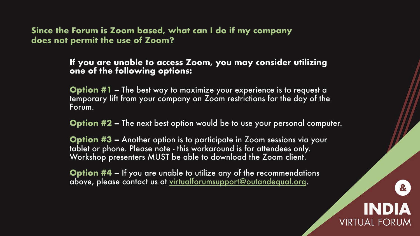## **Since the Forum is Zoom based, what can I do if my company does not permit the use of Zoom?**

### If you are unable to access Zoom, you may cor **one of the following op[tions:](mailto:virtualforumsupport@outandequal.org)**

**Option #1 -** The best way to maximize your experiene temporary lift from your company on Zoom restrictions Forum.

**Option #2 –** The next best option would be to use you

**Option #3 -** Another option is to participate in Zoom tablet or phone. Please note - this workaround is for atte Workshop presenters MUST be able to download the Z

**Option #4 -** If you are unable to utilize any of the rec above, please contact us at virtualforumsupport@outand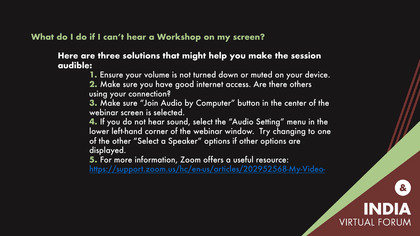## **What do I do if I can't hear a Workshop on my screen?**

### **Here are three solutions that might help you mak audible:**

**1.** Ensure your volume is not turned down or mute **2.** Make sure you have good internet access. Are using your connection?

**3.** Make sure "Join Audio by Computer" button in webinar screen is selected.

**4.** If you do not hear sound, select the "Audio Set lower left-hand corner of the webinar window. Try of the other "Select a Speaker" options if other options displayed.

**5.** For more information, Zoom offers a useful rese https://support.zoom.us/hc/en-us/articles/20295